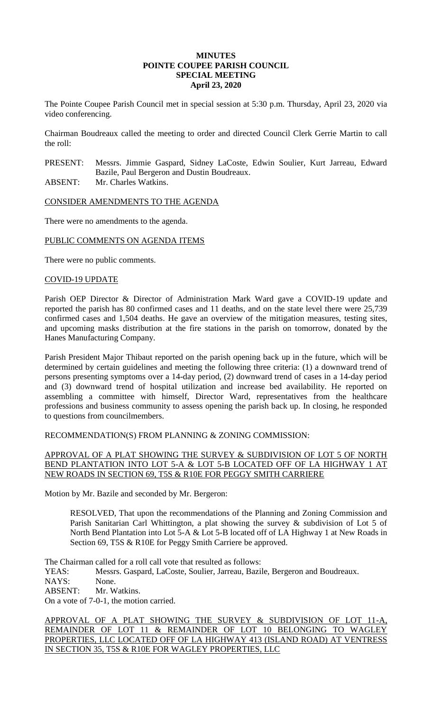## **MINUTES POINTE COUPEE PARISH COUNCIL SPECIAL MEETING April 23, 2020**

The Pointe Coupee Parish Council met in special session at 5:30 p.m. Thursday, April 23, 2020 via video conferencing.

Chairman Boudreaux called the meeting to order and directed Council Clerk Gerrie Martin to call the roll:

PRESENT: Messrs. Jimmie Gaspard, Sidney LaCoste, Edwin Soulier, Kurt Jarreau, Edward Bazile, Paul Bergeron and Dustin Boudreaux. ABSENT: Mr. Charles Watkins.

CONSIDER AMENDMENTS TO THE AGENDA

There were no amendments to the agenda.

# PUBLIC COMMENTS ON AGENDA ITEMS

There were no public comments.

### COVID-19 UPDATE

Parish OEP Director & Director of Administration Mark Ward gave a COVID-19 update and reported the parish has 80 confirmed cases and 11 deaths, and on the state level there were 25,739 confirmed cases and 1,504 deaths. He gave an overview of the mitigation measures, testing sites, and upcoming masks distribution at the fire stations in the parish on tomorrow, donated by the Hanes Manufacturing Company.

Parish President Major Thibaut reported on the parish opening back up in the future, which will be determined by certain guidelines and meeting the following three criteria: (1) a downward trend of persons presenting symptoms over a 14-day period, (2) downward trend of cases in a 14-day period and (3) downward trend of hospital utilization and increase bed availability. He reported on assembling a committee with himself, Director Ward, representatives from the healthcare professions and business community to assess opening the parish back up. In closing, he responded to questions from councilmembers.

### RECOMMENDATION(S) FROM PLANNING & ZONING COMMISSION:

# APPROVAL OF A PLAT SHOWING THE SURVEY & SUBDIVISION OF LOT 5 OF NORTH BEND PLANTATION INTO LOT 5-A & LOT 5-B LOCATED OFF OF LA HIGHWAY 1 AT NEW ROADS IN SECTION 69, T5S & R10E FOR PEGGY SMITH CARRIERE

Motion by Mr. Bazile and seconded by Mr. Bergeron:

RESOLVED, That upon the recommendations of the Planning and Zoning Commission and Parish Sanitarian Carl Whittington, a plat showing the survey & subdivision of Lot 5 of North Bend Plantation into Lot 5-A & Lot 5-B located off of LA Highway 1 at New Roads in Section 69, T5S & R10E for Peggy Smith Carriere be approved.

The Chairman called for a roll call vote that resulted as follows:

YEAS: Messrs. Gaspard, LaCoste, Soulier, Jarreau, Bazile, Bergeron and Boudreaux.

NAYS: None.

ABSENT: Mr. Watkins.

On a vote of 7-0-1, the motion carried.

APPROVAL OF A PLAT SHOWING THE SURVEY & SUBDIVISION OF LOT 11-A, REMAINDER OF LOT 11 & REMAINDER OF LOT 10 BELONGING TO WAGLEY PROPERTIES, LLC LOCATED OFF OF LA HIGHWAY 413 (ISLAND ROAD) AT VENTRESS IN SECTION 35, T5S & R10E FOR WAGLEY PROPERTIES, LLC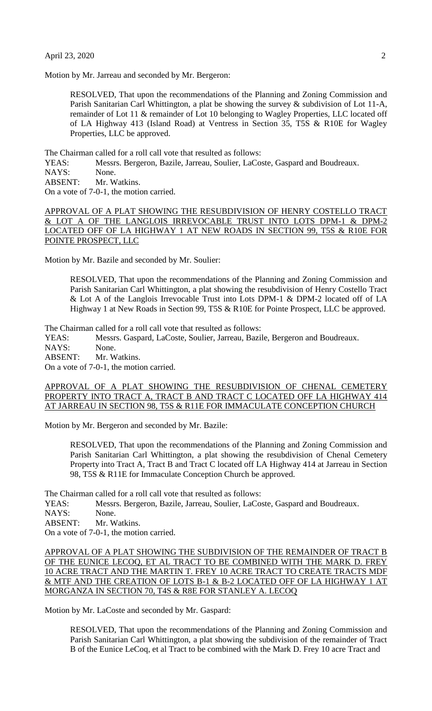Motion by Mr. Jarreau and seconded by Mr. Bergeron:

RESOLVED, That upon the recommendations of the Planning and Zoning Commission and Parish Sanitarian Carl Whittington, a plat be showing the survey & subdivision of Lot 11-A, remainder of Lot 11 & remainder of Lot 10 belonging to Wagley Properties, LLC located off of LA Highway 413 (Island Road) at Ventress in Section 35, T5S & R10E for Wagley Properties, LLC be approved.

The Chairman called for a roll call vote that resulted as follows:

YEAS: Messrs. Bergeron, Bazile, Jarreau, Soulier, LaCoste, Gaspard and Boudreaux.

NAYS: None.

ABSENT: Mr. Watkins.

On a vote of 7-0-1, the motion carried.

APPROVAL OF A PLAT SHOWING THE RESUBDIVISION OF HENRY COSTELLO TRACT & LOT A OF THE LANGLOIS IRREVOCABLE TRUST INTO LOTS DPM-1 & DPM-2 LOCATED OFF OF LA HIGHWAY 1 AT NEW ROADS IN SECTION 99, T5S & R10E FOR POINTE PROSPECT, LLC

Motion by Mr. Bazile and seconded by Mr. Soulier:

RESOLVED, That upon the recommendations of the Planning and Zoning Commission and Parish Sanitarian Carl Whittington, a plat showing the resubdivision of Henry Costello Tract & Lot A of the Langlois Irrevocable Trust into Lots DPM-1 & DPM-2 located off of LA Highway 1 at New Roads in Section 99, T5S & R10E for Pointe Prospect, LLC be approved.

The Chairman called for a roll call vote that resulted as follows:

YEAS: Messrs. Gaspard, LaCoste, Soulier, Jarreau, Bazile, Bergeron and Boudreaux. NAYS: None.

ABSENT: Mr. Watkins.

On a vote of 7-0-1, the motion carried.

## APPROVAL OF A PLAT SHOWING THE RESUBDIVISION OF CHENAL CEMETERY PROPERTY INTO TRACT A, TRACT B AND TRACT C LOCATED OFF LA HIGHWAY 414 AT JARREAU IN SECTION 98, T5S & R11E FOR IMMACULATE CONCEPTION CHURCH

Motion by Mr. Bergeron and seconded by Mr. Bazile:

RESOLVED, That upon the recommendations of the Planning and Zoning Commission and Parish Sanitarian Carl Whittington, a plat showing the resubdivision of Chenal Cemetery Property into Tract A, Tract B and Tract C located off LA Highway 414 at Jarreau in Section 98, T5S & R11E for Immaculate Conception Church be approved.

The Chairman called for a roll call vote that resulted as follows:

YEAS: Messrs. Bergeron, Bazile, Jarreau, Soulier, LaCoste, Gaspard and Boudreaux.

NAYS: None.

ABSENT: Mr. Watkins.

On a vote of 7-0-1, the motion carried.

APPROVAL OF A PLAT SHOWING THE SUBDIVISION OF THE REMAINDER OF TRACT B OF THE EUNICE LECOQ, ET AL TRACT TO BE COMBINED WITH THE MARK D. FREY 10 ACRE TRACT AND THE MARTIN T. FREY 10 ACRE TRACT TO CREATE TRACTS MDF & MTF AND THE CREATION OF LOTS B-1 & B-2 LOCATED OFF OF LA HIGHWAY 1 AT MORGANZA IN SECTION 70, T4S & R8E FOR STANLEY A. LECOQ

Motion by Mr. LaCoste and seconded by Mr. Gaspard:

RESOLVED, That upon the recommendations of the Planning and Zoning Commission and Parish Sanitarian Carl Whittington, a plat showing the subdivision of the remainder of Tract B of the Eunice LeCoq, et al Tract to be combined with the Mark D. Frey 10 acre Tract and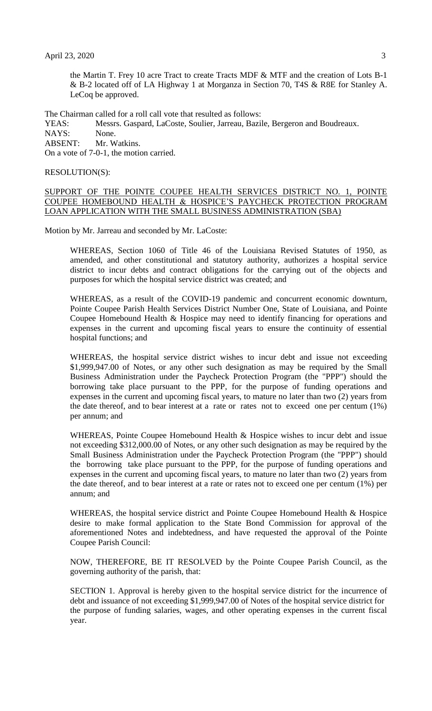the Martin T. Frey 10 acre Tract to create Tracts MDF & MTF and the creation of Lots B-1 & B-2 located off of LA Highway 1 at Morganza in Section 70, T4S & R8E for Stanley A. LeCoq be approved.

The Chairman called for a roll call vote that resulted as follows:

YEAS: Messrs. Gaspard, LaCoste, Soulier, Jarreau, Bazile, Bergeron and Boudreaux. NAYS: None. ABSENT: Mr. Watkins. On a vote of 7-0-1, the motion carried.

#### RESOLUTION(S):

SUPPORT OF THE POINTE COUPEE HEALTH SERVICES DISTRICT NO. 1, POINTE COUPEE HOMEBOUND HEALTH & HOSPICE'S PAYCHECK PROTECTION PROGRAM LOAN APPLICATION WITH THE SMALL BUSINESS ADMINISTRATION (SBA)

Motion by Mr. Jarreau and seconded by Mr. LaCoste:

WHEREAS, Section 1060 of Title 46 of the Louisiana Revised Statutes of 1950, as amended, and other constitutional and statutory authority, authorizes a hospital service district to incur debts and contract obligations for the carrying out of the objects and purposes for which the hospital service district was created; and

WHEREAS, as a result of the COVID-19 pandemic and concurrent economic downturn, Pointe Coupee Parish Health Services District Number One, State of Louisiana, and Pointe Coupee Homebound Health & Hospice may need to identify financing for operations and expenses in the current and upcoming fiscal years to ensure the continuity of essential hospital functions; and

WHEREAS, the hospital service district wishes to incur debt and issue not exceeding \$1,999,947.00 of Notes, or any other such designation as may be required by the Small Business Administration under the Paycheck Protection Program (the "PPP") should the borrowing take place pursuant to the PPP, for the purpose of funding operations and expenses in the current and upcoming fiscal years, to mature no later than two (2) years from the date thereof, and to bear interest at a rate or rates not to exceed one per centum (1%) per annum; and

WHEREAS, Pointe Coupee Homebound Health & Hospice wishes to incur debt and issue not exceeding \$312,000.00 of Notes, or any other such designation as may be required by the Small Business Administration under the Paycheck Protection Program (the "PPP") should the borrowing take place pursuant to the PPP, for the purpose of funding operations and expenses in the current and upcoming fiscal years, to mature no later than two (2) years from the date thereof, and to bear interest at a rate or rates not to exceed one per centum (1%) per annum; and

WHEREAS, the hospital service district and Pointe Coupee Homebound Health & Hospice desire to make formal application to the State Bond Commission for approval of the aforementioned Notes and indebtedness, and have requested the approval of the Pointe Coupee Parish Council:

NOW, THEREFORE, BE IT RESOLVED by the Pointe Coupee Parish Council, as the governing authority of the parish, that:

SECTION 1. Approval is hereby given to the hospital service district for the incurrence of debt and issuance of not exceeding \$1,999,947.00 of Notes of the hospital service district for the purpose of funding salaries, wages, and other operating expenses in the current fiscal year.